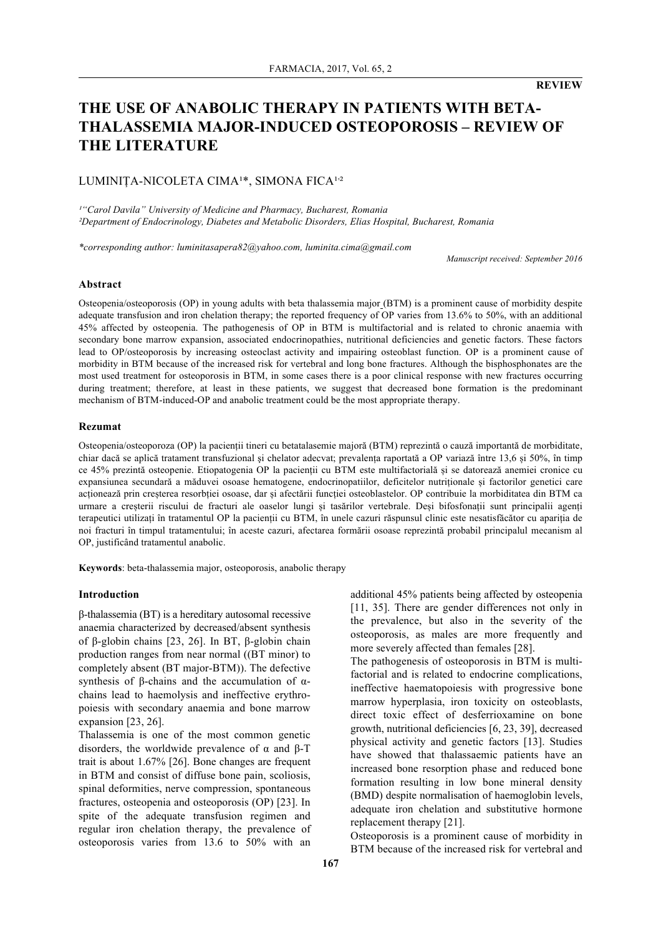# **THE USE OF ANABOLIC THERAPY IN PATIENTS WITH BETA-THALASSEMIA MAJOR-INDUCED OSTEOPOROSIS – REVIEW OF THE LITERATURE**

# LUMINIȚA-NICOLETA CIMA<sup>1\*</sup>, SIMONA FICA<sup>1,2</sup>

*¹"Carol Davila" University of Medicine and Pharmacy, Bucharest, Romania ²Department of Endocrinology, Diabetes and Metabolic Disorders, Elias Hospital, Bucharest, Romania*

*\*corresponding author: luminitasapera82@yahoo.com, luminita.cima@gmail.com*

*Manuscript received: September 2016*

#### **Abstract**

Osteopenia/osteoporosis (OP) in young adults with beta thalassemia major (BTM) is a prominent cause of morbidity despite adequate transfusion and iron chelation therapy; the reported frequency of OP varies from 13.6% to 50%, with an additional 45% affected by osteopenia. The pathogenesis of OP in BTM is multifactorial and is related to chronic anaemia with secondary bone marrow expansion, associated endocrinopathies, nutritional deficiencies and genetic factors. These factors lead to OP/osteoporosis by increasing osteoclast activity and impairing osteoblast function. OP is a prominent cause of morbidity in BTM because of the increased risk for vertebral and long bone fractures. Although the bisphosphonates are the most used treatment for osteoporosis in BTM, in some cases there is a poor clinical response with new fractures occurring during treatment; therefore, at least in these patients, we suggest that decreased bone formation is the predominant mechanism of BTM-induced-OP and anabolic treatment could be the most appropriate therapy.

#### **Rezumat**

Osteopenia/osteoporoza (OP) la pacienții tineri cu betatalasemie majoră (BTM) reprezintă o cauză importantă de morbiditate, chiar dacă se aplică tratament transfuzional şi chelator adecvat; prevalența raportată a OP variază între 13,6 și 50%, în timp ce 45% prezintă osteopenie. Etiopatogenia OP la pacienții cu BTM este multifactorială și se datorează anemiei cronice cu expansiunea secundară a măduvei osoase hematogene, endocrinopatiilor, deficitelor nutriționale și factorilor genetici care acționează prin creșterea resorbției osoase, dar și afectării funcției osteoblastelor. OP contribuie la morbiditatea din BTM ca urmare a creșterii riscului de fracturi ale oaselor lungi și tasărilor vertebrale. Deși bifosfonații sunt principalii agenți terapeutici utilizați în tratamentul OP la pacienții cu BTM, în unele cazuri răspunsul clinic este nesatisfăcător cu apariția de noi fracturi în timpul tratamentului; în aceste cazuri, afectarea formării osoase reprezintă probabil principalul mecanism al OP, justificând tratamentul anabolic.

**Keywords**: beta-thalassemia major, osteoporosis, anabolic therapy

#### **Introduction**

β-thalassemia (BT) is a hereditary autosomal recessive anaemia characterized by decreased/absent synthesis of β-globin chains [23, 26]. In BT, β-globin chain production ranges from near normal ((BT minor) to completely absent (BT major-BTM)). The defective synthesis of β-chains and the accumulation of αchains lead to haemolysis and ineffective erythropoiesis with secondary anaemia and bone marrow expansion [23, 26].

Thalassemia is one of the most common genetic disorders, the worldwide prevalence of α and β-T trait is about 1.67% [26]. Bone changes are frequent in BTM and consist of diffuse bone pain, scoliosis, spinal deformities, nerve compression, spontaneous fractures, osteopenia and osteoporosis (OP) [23]. In spite of the adequate transfusion regimen and regular iron chelation therapy, the prevalence of osteoporosis varies from 13.6 to 50% with an additional 45% patients being affected by osteopenia [11, 35]. There are gender differences not only in the prevalence, but also in the severity of the osteoporosis, as males are more frequently and more severely affected than females [28].

The pathogenesis of osteoporosis in BTM is multifactorial and is related to endocrine complications, ineffective haematopoiesis with progressive bone marrow hyperplasia, iron toxicity on osteoblasts, direct toxic effect of desferrioxamine on bone growth, nutritional deficiencies [6, 23, 39], decreased physical activity and genetic factors [13]. Studies have showed that thalassaemic patients have an increased bone resorption phase and reduced bone formation resulting in low bone mineral density (BMD) despite normalisation of haemoglobin levels, adequate iron chelation and substitutive hormone replacement therapy [21].

Osteoporosis is a prominent cause of morbidity in BTM because of the increased risk for vertebral and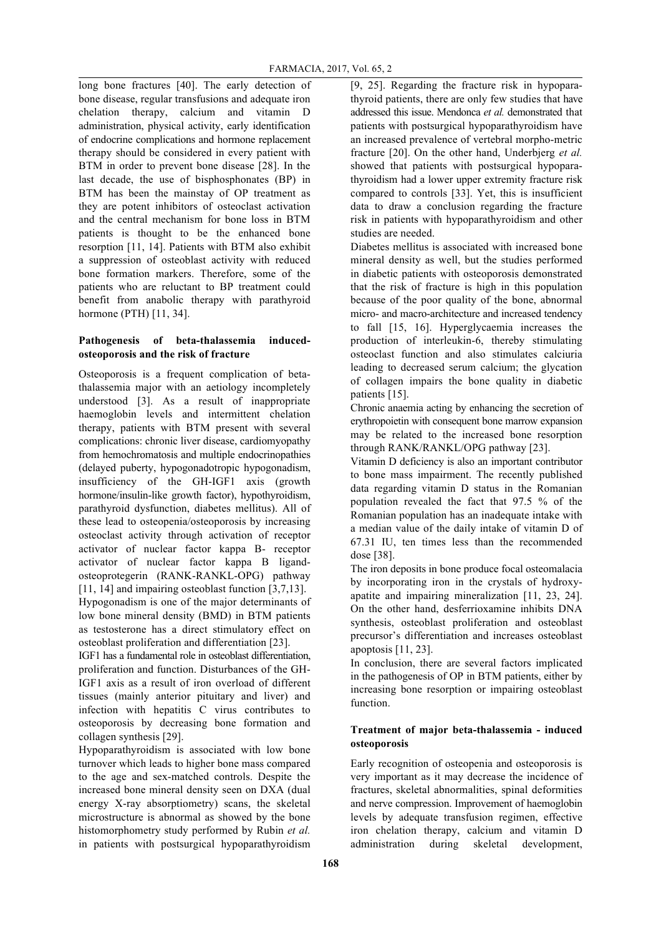long bone fractures [40]. The early detection of bone disease, regular transfusions and adequate iron chelation therapy, calcium and vitamin D administration, physical activity, early identification of endocrine complications and hormone replacement therapy should be considered in every patient with BTM in order to prevent bone disease [28]. In the last decade, the use of bisphosphonates (BP) in BTM has been the mainstay of OP treatment as they are potent inhibitors of osteoclast activation and the central mechanism for bone loss in BTM patients is thought to be the enhanced bone resorption [11, 14]. Patients with BTM also exhibit a suppression of osteoblast activity with reduced bone formation markers. Therefore, some of the patients who are reluctant to BP treatment could benefit from anabolic therapy with parathyroid hormone (PTH) [11, 34].

### **Pathogenesis of beta-thalassemia inducedosteoporosis and the risk of fracture**

Osteoporosis is a frequent complication of betathalassemia major with an aetiology incompletely understood [3]. As a result of inappropriate haemoglobin levels and intermittent chelation therapy, patients with BTM present with several complications: chronic liver disease, cardiomyopathy from hemochromatosis and multiple endocrinopathies (delayed puberty, hypogonadotropic hypogonadism, insufficiency of the GH-IGF1 axis (growth hormone/insulin-like growth factor), hypothyroidism, parathyroid dysfunction, diabetes mellitus). All of these lead to osteopenia/osteoporosis by increasing osteoclast activity through activation of receptor activator of nuclear factor kappa B- receptor activator of nuclear factor kappa B ligandosteoprotegerin (RANK-RANKL-OPG) pathway [11, 14] and impairing osteoblast function [3,7,13].

Hypogonadism is one of the major determinants of low bone mineral density (BMD) in BTM patients as testosterone has a direct stimulatory effect on osteoblast proliferation and differentiation [23].

IGF1 has a fundamental role in osteoblast differentiation, proliferation and function. Disturbances of the GH-IGF1 axis as a result of iron overload of different tissues (mainly anterior pituitary and liver) and infection with hepatitis C virus contributes to osteoporosis by decreasing bone formation and collagen synthesis [29].

Hypoparathyroidism is associated with low bone turnover which leads to higher bone mass compared to the age and sex-matched controls. Despite the increased bone mineral density seen on DXA (dual energy X-ray absorptiometry) scans, the skeletal microstructure is abnormal as showed by the bone histomorphometry study performed by Rubin *et al.* in patients with postsurgical hypoparathyroidism

[9, 25]. Regarding the fracture risk in hypoparathyroid patients, there are only few studies that have addressed this issue. Mendonca *et al.* demonstrated that patients with postsurgical hypoparathyroidism have an increased prevalence of vertebral morpho-metric fracture [20]. On the other hand, Underbjerg *et al.* showed that patients with postsurgical hypoparathyroidism had a lower upper extremity fracture risk compared to controls [33]. Yet, this is insufficient data to draw a conclusion regarding the fracture risk in patients with hypoparathyroidism and other studies are needed.

Diabetes mellitus is associated with increased bone mineral density as well, but the studies performed in diabetic patients with osteoporosis demonstrated that the risk of fracture is high in this population because of the poor quality of the bone, abnormal micro- and macro-architecture and increased tendency to fall [15, 16]. Hyperglycaemia increases the production of interleukin-6, thereby stimulating osteoclast function and also stimulates calciuria leading to decreased serum calcium; the glycation of collagen impairs the bone quality in diabetic patients [15].

Chronic anaemia acting by enhancing the secretion of erythropoietin with consequent bone marrow expansion may be related to the increased bone resorption through RANK/RANKL/OPG pathway [23].

Vitamin D deficiency is also an important contributor to bone mass impairment. The recently published data regarding vitamin D status in the Romanian population revealed the fact that 97.5 % of the Romanian population has an inadequate intake with a median value of the daily intake of vitamin D of 67.31 IU, ten times less than the recommended dose [38].

The iron deposits in bone produce focal osteomalacia by incorporating iron in the crystals of hydroxyapatite and impairing mineralization [11, 23, 24]. On the other hand, desferrioxamine inhibits DNA synthesis, osteoblast proliferation and osteoblast precursor's differentiation and increases osteoblast apoptosis [11, 23].

In conclusion, there are several factors implicated in the pathogenesis of OP in BTM patients, either by increasing bone resorption or impairing osteoblast function.

### **Treatment of major beta-thalassemia - induced osteoporosis**

Early recognition of osteopenia and osteoporosis is very important as it may decrease the incidence of fractures, skeletal abnormalities, spinal deformities and nerve compression. Improvement of haemoglobin levels by adequate transfusion regimen, effective iron chelation therapy, calcium and vitamin D administration during skeletal development,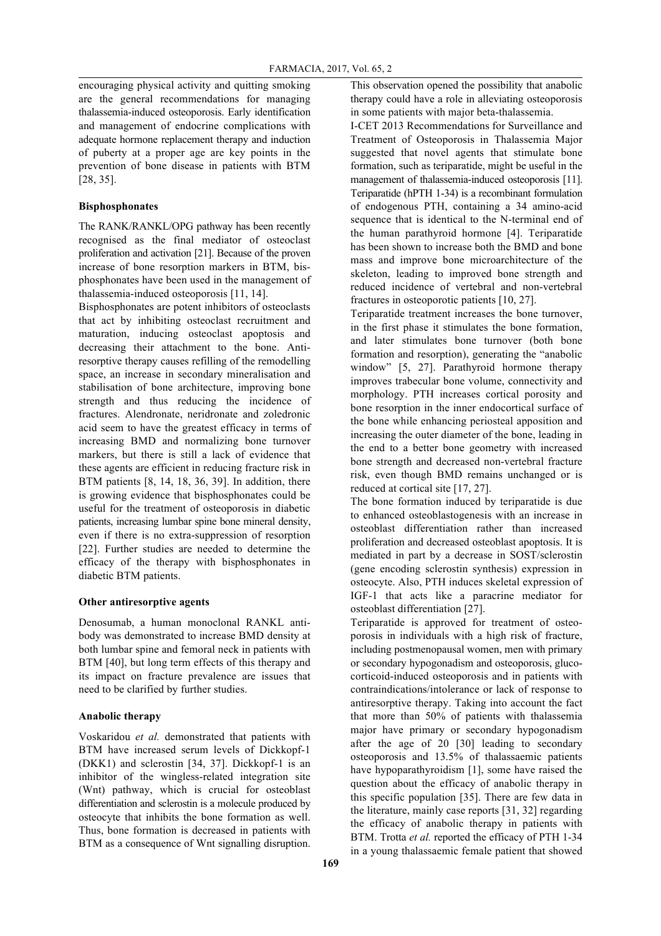encouraging physical activity and quitting smoking are the general recommendations for managing thalassemia-induced osteoporosis. Early identification and management of endocrine complications with adequate hormone replacement therapy and induction of puberty at a proper age are key points in the prevention of bone disease in patients with BTM [28, 35].

#### **Bisphosphonates**

The RANK/RANKL/OPG pathway has been recently recognised as the final mediator of osteoclast proliferation and activation [21]. Because of the proven increase of bone resorption markers in BTM, bisphosphonates have been used in the management of thalassemia-induced osteoporosis [11, 14].

Bisphosphonates are potent inhibitors of osteoclasts that act by inhibiting osteoclast recruitment and maturation, inducing osteoclast apoptosis and decreasing their attachment to the bone. Antiresorptive therapy causes refilling of the remodelling space, an increase in secondary mineralisation and stabilisation of bone architecture, improving bone strength and thus reducing the incidence of fractures. Alendronate, neridronate and zoledronic acid seem to have the greatest efficacy in terms of increasing BMD and normalizing bone turnover markers, but there is still a lack of evidence that these agents are efficient in reducing fracture risk in BTM patients [8, 14, 18, 36, 39]. In addition, there is growing evidence that bisphosphonates could be useful for the treatment of osteoporosis in diabetic patients, increasing lumbar spine bone mineral density, even if there is no extra-suppression of resorption [22]. Further studies are needed to determine the efficacy of the therapy with bisphosphonates in diabetic BTM patients.

#### **Other antiresorptive agents**

Denosumab, a human monoclonal RANKL antibody was demonstrated to increase BMD density at both lumbar spine and femoral neck in patients with BTM [40], but long term effects of this therapy and its impact on fracture prevalence are issues that need to be clarified by further studies.

## **Anabolic therapy**

Voskaridou *et al.* demonstrated that patients with BTM have increased serum levels of Dickkopf-1 (DKK1) and sclerostin [34, 37]. Dickkopf-1 is an inhibitor of the wingless-related integration site (Wnt) pathway, which is crucial for osteoblast differentiation and sclerostin is a molecule produced by osteocyte that inhibits the bone formation as well. Thus, bone formation is decreased in patients with BTM as a consequence of Wnt signalling disruption.

This observation opened the possibility that anabolic therapy could have a role in alleviating osteoporosis in some patients with major beta-thalassemia.

I-CET 2013 Recommendations for Surveillance and Treatment of Osteoporosis in Thalassemia Major suggested that novel agents that stimulate bone formation, such as teriparatide, might be useful in the management of thalassemia-induced osteoporosis [11]. Teriparatide (hPTH 1-34) is a recombinant formulation of endogenous PTH, containing a 34 amino-acid sequence that is identical to the N-terminal end of the human parathyroid hormone [4]. Teriparatide has been shown to increase both the BMD and bone mass and improve bone microarchitecture of the skeleton, leading to improved bone strength and reduced incidence of vertebral and non-vertebral fractures in osteoporotic patients [10, 27].

Teriparatide treatment increases the bone turnover, in the first phase it stimulates the bone formation, and later stimulates bone turnover (both bone formation and resorption), generating the "anabolic window" [5, 27]. Parathyroid hormone therapy improves trabecular bone volume, connectivity and morphology. PTH increases cortical porosity and bone resorption in the inner endocortical surface of the bone while enhancing periosteal apposition and increasing the outer diameter of the bone, leading in the end to a better bone geometry with increased bone strength and decreased non-vertebral fracture risk, even though BMD remains unchanged or is reduced at cortical site [17, 27].

The bone formation induced by teriparatide is due to enhanced osteoblastogenesis with an increase in osteoblast differentiation rather than increased proliferation and decreased osteoblast apoptosis. It is mediated in part by a decrease in SOST/sclerostin (gene encoding sclerostin synthesis) expression in osteocyte. Also, PTH induces skeletal expression of IGF-1 that acts like a paracrine mediator for osteoblast differentiation [27].

Teriparatide is approved for treatment of osteoporosis in individuals with a high risk of fracture, including postmenopausal women, men with primary or secondary hypogonadism and osteoporosis, glucocorticoid-induced osteoporosis and in patients with contraindications/intolerance or lack of response to antiresorptive therapy. Taking into account the fact that more than 50% of patients with thalassemia major have primary or secondary hypogonadism after the age of 20 [30] leading to secondary osteoporosis and 13.5% of thalassaemic patients have hypoparathyroidism [1], some have raised the question about the efficacy of anabolic therapy in this specific population [35]. There are few data in the literature, mainly case reports [31, 32] regarding the efficacy of anabolic therapy in patients with BTM. Trotta *et al.* reported the efficacy of PTH 1-34 in a young thalassaemic female patient that showed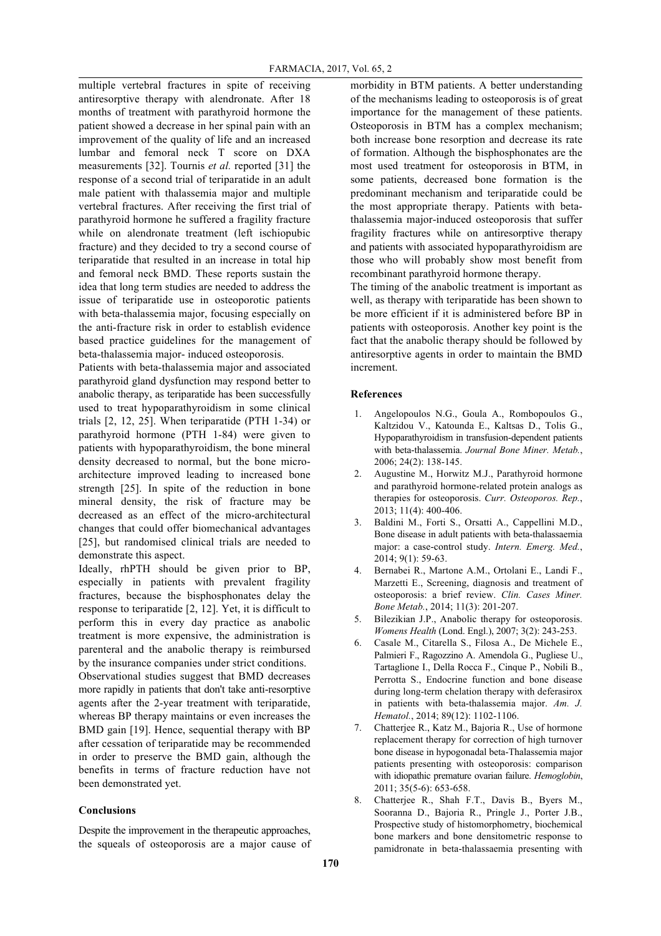multiple vertebral fractures in spite of receiving antiresorptive therapy with alendronate. After 18 months of treatment with parathyroid hormone the patient showed a decrease in her spinal pain with an improvement of the quality of life and an increased lumbar and femoral neck T score on DXA measurements [32]. Tournis *et al.* reported [31] the response of a second trial of teriparatide in an adult male patient with thalassemia major and multiple vertebral fractures. After receiving the first trial of parathyroid hormone he suffered a fragility fracture while on alendronate treatment (left ischiopubic fracture) and they decided to try a second course of teriparatide that resulted in an increase in total hip and femoral neck BMD. These reports sustain the idea that long term studies are needed to address the issue of teriparatide use in osteoporotic patients with beta-thalassemia major, focusing especially on the anti-fracture risk in order to establish evidence based practice guidelines for the management of beta-thalassemia major- induced osteoporosis.

Patients with beta-thalassemia major and associated parathyroid gland dysfunction may respond better to anabolic therapy, as teriparatide has been successfully used to treat hypoparathyroidism in some clinical trials [2, 12, 25]. When teriparatide (PTH 1-34) or parathyroid hormone (PTH 1-84) were given to patients with hypoparathyroidism, the bone mineral density decreased to normal, but the bone microarchitecture improved leading to increased bone strength [25]. In spite of the reduction in bone mineral density, the risk of fracture may be decreased as an effect of the micro-architectural changes that could offer biomechanical advantages [25], but randomised clinical trials are needed to demonstrate this aspect.

Ideally, rhPTH should be given prior to BP, especially in patients with prevalent fragility fractures, because the bisphosphonates delay the response to teriparatide [2, 12]. Yet, it is difficult to perform this in every day practice as anabolic treatment is more expensive, the administration is parenteral and the anabolic therapy is reimbursed by the insurance companies under strict conditions. Observational studies suggest that BMD decreases more rapidly in patients that don't take anti-resorptive agents after the 2-year treatment with teriparatide, whereas BP therapy maintains or even increases the BMD gain [19]. Hence, sequential therapy with BP after cessation of teriparatide may be recommended in order to preserve the BMD gain, although the benefits in terms of fracture reduction have not been demonstrated yet.

#### **Conclusions**

Despite the improvement in the therapeutic approaches, the squeals of osteoporosis are a major cause of morbidity in BTM patients. A better understanding of the mechanisms leading to osteoporosis is of great importance for the management of these patients. Osteoporosis in BTM has a complex mechanism; both increase bone resorption and decrease its rate of formation. Although the bisphosphonates are the most used treatment for osteoporosis in BTM, in some patients, decreased bone formation is the predominant mechanism and teriparatide could be the most appropriate therapy. Patients with betathalassemia major-induced osteoporosis that suffer fragility fractures while on antiresorptive therapy and patients with associated hypoparathyroidism are those who will probably show most benefit from recombinant parathyroid hormone therapy.

The timing of the anabolic treatment is important as well, as therapy with teriparatide has been shown to be more efficient if it is administered before BP in patients with osteoporosis. Another key point is the fact that the anabolic therapy should be followed by antiresorptive agents in order to maintain the BMD increment.

#### **References**

- 1. Angelopoulos N.G., Goula A., Rombopoulos G., Kaltzidou V., Katounda E., Kaltsas D., Tolis G., Hypoparathyroidism in transfusion-dependent patients with beta-thalassemia. *Journal Bone Miner. Metab.*, 2006; 24(2): 138-145.
- 2. Augustine M., Horwitz M.J., Parathyroid hormone and parathyroid hormone-related protein analogs as therapies for osteoporosis. *Curr. Osteoporos. Rep.*, 2013; 11(4): 400-406.
- 3. Baldini M., Forti S., Orsatti A., Cappellini M.D., Bone disease in adult patients with beta-thalassaemia major: a case-control study. *Intern. Emerg. Med.*, 2014; 9(1): 59-63.
- 4. Bernabei R., Martone A.M., Ortolani E., Landi F., Marzetti E., Screening, diagnosis and treatment of osteoporosis: a brief review. *Clin. Cases Miner. Bone Metab.*, 2014; 11(3): 201-207.
- 5. Bilezikian J.P., Anabolic therapy for osteoporosis. *Womens Health* (Lond. Engl.), 2007; 3(2): 243-253.
- 6. Casale M., Citarella S., Filosa A., De Michele E., Palmieri F., Ragozzino A. Amendola G., Pugliese U., Tartaglione I., Della Rocca F., Cinque P., Nobili B., Perrotta S., Endocrine function and bone disease during long-term chelation therapy with deferasirox in patients with beta-thalassemia major. *Am. J. Hematol.*, 2014; 89(12): 1102-1106.
- 7. Chatterjee R., Katz M., Bajoria R., Use of hormone replacement therapy for correction of high turnover bone disease in hypogonadal beta-Thalassemia major patients presenting with osteoporosis: comparison with idiopathic premature ovarian failure. *Hemoglobin*, 2011; 35(5-6): 653-658.
- 8. Chatterjee R., Shah F.T., Davis B., Byers M., Sooranna D., Bajoria R., Pringle J., Porter J.B., Prospective study of histomorphometry, biochemical bone markers and bone densitometric response to pamidronate in beta-thalassaemia presenting with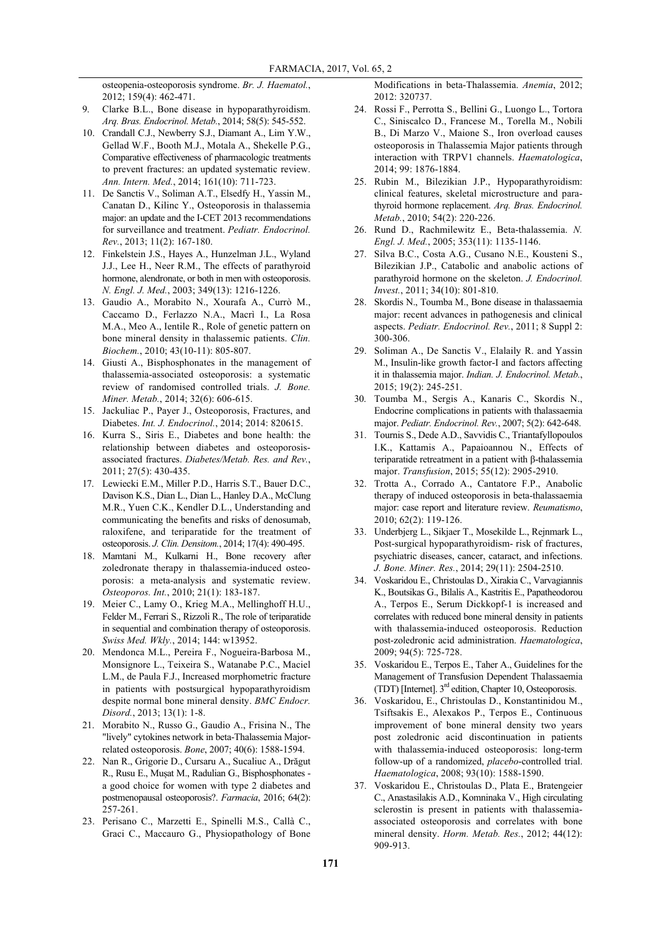osteopenia-osteoporosis syndrome. *Br. J. Haematol.*, 2012; 159(4): 462-471.

Clarke B.L., Bone disease in hypoparathyroidism. *Arq. Bras. Endocrinol. Metab.*, 2014; 58(5): 545-552.

- 10. Crandall C.J., Newberry S.J., Diamant A., Lim Y.W., Gellad W.F., Booth M.J., Motala A., Shekelle P.G., Comparative effectiveness of pharmacologic treatments to prevent fractures: an updated systematic review. *Ann. Intern. Med.*, 2014; 161(10): 711-723.
- 11. De Sanctis V., Soliman A.T., Elsedfy H., Yassin M., Canatan D., Kilinc Y., Osteoporosis in thalassemia major: an update and the I-CET 2013 recommendations for surveillance and treatment. *Pediatr. Endocrinol. Rev.*, 2013; 11(2): 167-180.
- 12. Finkelstein J.S., Hayes A., Hunzelman J.L., Wyland J.J., Lee H., Neer R.M., The effects of parathyroid hormone, alendronate, or both in men with osteoporosis. *N. Engl. J. Med.*, 2003; 349(13): 1216-1226.
- 13. Gaudio A., Morabito N., Xourafa A., Currò M., Caccamo D., Ferlazzo N.A., Macrì I., La Rosa M.A., Meo A., Ientile R., Role of genetic pattern on bone mineral density in thalassemic patients. *Clin. Biochem.*, 2010; 43(10-11): 805-807.
- 14. Giusti A., Bisphosphonates in the management of thalassemia-associated osteoporosis: a systematic review of randomised controlled trials. *J. Bone. Miner. Metab.*, 2014; 32(6): 606-615.
- 15. Jackuliac P., Payer J., Osteoporosis, Fractures, and Diabetes. *Int. J. Endocrinol.*, 2014; 2014: 820615.
- 16. Kurra S., Siris E., Diabetes and bone health: the relationship between diabetes and osteoporosisassociated fractures. *Diabetes/Metab. Res. and Rev.*, 2011; 27(5): 430-435.
- 17. Lewiecki E.M., Miller P.D., Harris S.T., Bauer D.C., Davison K.S., Dian L., Dian L., Hanley D.A., McClung M.R., Yuen C.K., Kendler D.L., Understanding and communicating the benefits and risks of denosumab, raloxifene, and teriparatide for the treatment of osteoporosis. *J. Clin. Densitom.*, 2014; 17(4): 490-495.
- 18. Mamtani M., Kulkarni H., Bone recovery after zoledronate therapy in thalassemia-induced osteoporosis: a meta-analysis and systematic review. *Osteoporos. Int.*, 2010; 21(1): 183-187.
- 19. Meier C., Lamy O., Krieg M.A., Mellinghoff H.U., Felder M., Ferrari S., Rizzoli R., The role of teriparatide in sequential and combination therapy of osteoporosis. *Swiss Med. Wkly.*, 2014; 144: w13952.
- 20. Mendonca M.L., Pereira F., Nogueira-Barbosa M., Monsignore L., Teixeira S., Watanabe P.C., Maciel L.M., de Paula F.J., Increased morphometric fracture in patients with postsurgical hypoparathyroidism despite normal bone mineral density. *BMC Endocr. Disord.*, 2013; 13(1): 1-8.
- 21. Morabito N., Russo G., Gaudio A., Frisina N., The "lively" cytokines network in beta-Thalassemia Majorrelated osteoporosis. *Bone*, 2007; 40(6): 1588-1594.
- 22. Nan R., Grigorie D., Cursaru A., Sucaliuc A., Drăgut R., Rusu E., Mușat M., Radulian G., Bisphosphonates a good choice for women with type 2 diabetes and postmenopausal osteoporosis?. *Farmacia*, 2016; 64(2): 257-261.
- 23. Perisano C., Marzetti E., Spinelli M.S., Callà C., Graci C., Maccauro G., Physiopathology of Bone

Modifications in beta-Thalassemia. *Anemia*, 2012; 2012: 320737.

- 24. Rossi F., Perrotta S., Bellini G., Luongo L., Tortora C., Siniscalco D., Francese M., Torella M., Nobili B., Di Marzo V., Maione S., Iron overload causes osteoporosis in Thalassemia Major patients through interaction with TRPV1 channels. *Haematologica*, 2014; 99: 1876-1884.
- 25. Rubin M., Bilezikian J.P., Hypoparathyroidism: clinical features, skeletal microstructure and parathyroid hormone replacement. *Arq. Bras. Endocrinol. Metab.*, 2010; 54(2): 220-226.
- 26. Rund D., Rachmilewitz E., Beta-thalassemia. *N. Engl. J. Med.*, 2005; 353(11): 1135-1146.
- 27. Silva B.C., Costa A.G., Cusano N.E., Kousteni S., Bilezikian J.P., Catabolic and anabolic actions of parathyroid hormone on the skeleton. *J. Endocrinol. Invest.*, 2011; 34(10): 801-810.
- 28. Skordis N., Toumba M., Bone disease in thalassaemia major: recent advances in pathogenesis and clinical aspects. *Pediatr. Endocrinol. Rev.*, 2011; 8 Suppl 2: 300-306.
- 29. Soliman A., De Sanctis V., Elalaily R. and Yassin M., Insulin-like growth factor-I and factors affecting it in thalassemia major. *Indian. J. Endocrinol. Metab.*, 2015; 19(2): 245-251.
- 30. Toumba M., Sergis A., Kanaris C., Skordis N., Endocrine complications in patients with thalassaemia major. *Pediatr. Endocrinol. Rev.*, 2007; 5(2): 642-648.
- 31. Tournis S., Dede A.D., Savvidis C., Triantafyllopoulos I.K., Kattamis A., Papaioannou N., Effects of teriparatide retreatment in a patient with β-thalassemia major. *Transfusion*, 2015; 55(12): 2905-2910.
- 32. Trotta A., Corrado A., Cantatore F.P., Anabolic therapy of induced osteoporosis in beta-thalassaemia major: case report and literature review. *Reumatismo*, 2010; 62(2): 119-126.
- 33. Underbjerg L., Sikjaer T., Mosekilde L., Rejnmark L., Post-surgical hypoparathyroidism- risk of fractures, psychiatric diseases, cancer, cataract, and infections. *J. Bone. Miner. Res.*, 2014; 29(11): 2504-2510.
- 34. Voskaridou E., Christoulas D., Xirakia C., Varvagiannis K., Boutsikas G., Bilalis A., Kastritis E., Papatheodorou A., Terpos E., Serum Dickkopf-1 is increased and correlates with reduced bone mineral density in patients with thalassemia-induced osteoporosis. Reduction post-zoledronic acid administration. *Haematologica*, 2009; 94(5): 725-728.
- 35. Voskaridou E., Terpos E., Taher A., Guidelines for the Management of Transfusion Dependent Thalassaemia (TDT) [Internet].  $3<sup>rd</sup>$  edition, Chapter 10, Osteoporosis.
- 36. Voskaridou, E., Christoulas D., Konstantinidou M., Tsiftsakis E., Alexakos P., Terpos E., Continuous improvement of bone mineral density two years post zoledronic acid discontinuation in patients with thalassemia-induced osteoporosis: long-term follow-up of a randomized, *placebo*-controlled trial. *Haematologica*, 2008; 93(10): 1588-1590.
- 37. Voskaridou E., Christoulas D., Plata E., Bratengeier C., Anastasilakis A.D., Komninaka V., High circulating sclerostin is present in patients with thalassemiaassociated osteoporosis and correlates with bone mineral density. *Horm. Metab. Res.*, 2012; 44(12): 909-913.